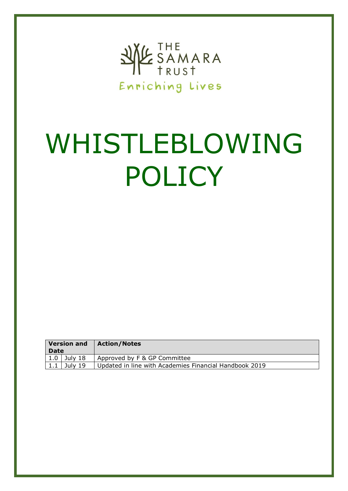

# WHISTLEBLOWING POLICY

| <b>Version and</b><br><b>Date</b> |         | <b>Action/Notes</b>                                    |
|-----------------------------------|---------|--------------------------------------------------------|
| 1.0                               | July 18 | Approved by F & GP Committee                           |
| 1.1                               | July 19 | Updated in line with Academies Financial Handbook 2019 |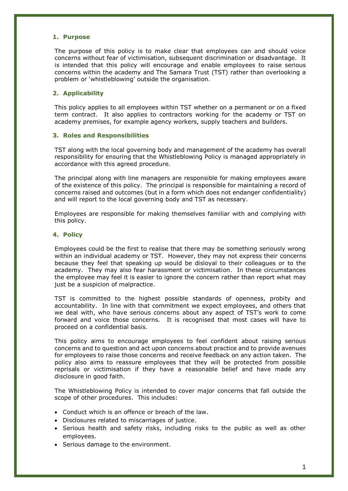### **1. Purpose**

The purpose of this policy is to make clear that employees can and should voice concerns without fear of victimisation, subsequent discrimination or disadvantage. It is intended that this policy will encourage and enable employees to raise serious concerns within the academy and The Samara Trust (TST) rather than overlooking a problem or 'whistleblowing' outside the organisation.

# **2. Applicability**

This policy applies to all employees within TST whether on a permanent or on a fixed term contract. It also applies to contractors working for the academy or TST on academy premises, for example agency workers, supply teachers and builders.

# **3. Roles and Responsibilities**

TST along with the local governing body and management of the academy has overall responsibility for ensuring that the Whistleblowing Policy is managed appropriately in accordance with this agreed procedure.

The principal along with line managers are responsible for making employees aware of the existence of this policy. The principal is responsible for maintaining a record of concerns raised and outcomes (but in a form which does not endanger confidentiality) and will report to the local governing body and TST as necessary.

Employees are responsible for making themselves familiar with and complying with this policy.

### **4. Policy**

Employees could be the first to realise that there may be something seriously wrong within an individual academy or TST. However, they may not express their concerns because they feel that speaking up would be disloyal to their colleagues or to the academy. They may also fear harassment or victimisation. In these circumstances the employee may feel it is easier to ignore the concern rather than report what may just be a suspicion of malpractice.

TST is committed to the highest possible standards of openness, probity and accountability. In line with that commitment we expect employees, and others that we deal with, who have serious concerns about any aspect of TST's work to come forward and voice those concerns. It is recognised that most cases will have to proceed on a confidential basis.

This policy aims to encourage employees to feel confident about raising serious concerns and to question and act upon concerns about practice and to provide avenues for employees to raise those concerns and receive feedback on any action taken. The policy also aims to reassure employees that they will be protected from possible reprisals or victimisation if they have a reasonable belief and have made any disclosure in good faith.

The Whistleblowing Policy is intended to cover major concerns that fall outside the scope of other procedures. This includes:

- Conduct which is an offence or breach of the law.
- Disclosures related to miscarriages of justice.
- Serious health and safety risks, including risks to the public as well as other employees.
- Serious damage to the environment.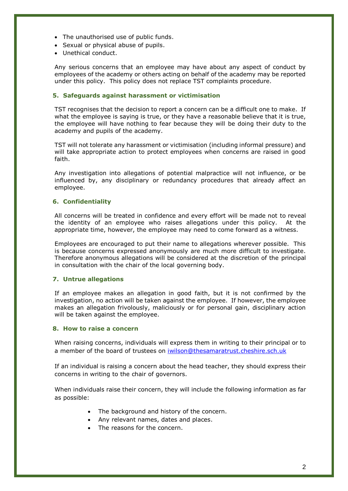- The unauthorised use of public funds.
- Sexual or physical abuse of pupils.
- Unethical conduct.

Any serious concerns that an employee may have about any aspect of conduct by employees of the academy or others acting on behalf of the academy may be reported under this policy. This policy does not replace TST complaints procedure.

# **5. Safeguards against harassment or victimisation**

TST recognises that the decision to report a concern can be a difficult one to make. If what the employee is saying is true, or they have a reasonable believe that it is true, the employee will have nothing to fear because they will be doing their duty to the academy and pupils of the academy.

TST will not tolerate any harassment or victimisation (including informal pressure) and will take appropriate action to protect employees when concerns are raised in good faith.

Any investigation into allegations of potential malpractice will not influence, or be influenced by, any disciplinary or redundancy procedures that already affect an employee.

# **6. Confidentiality**

All concerns will be treated in confidence and every effort will be made not to reveal the identity of an employee who raises allegations under this policy. At the appropriate time, however, the employee may need to come forward as a witness.

Employees are encouraged to put their name to allegations wherever possible. This is because concerns expressed anonymously are much more difficult to investigate. Therefore anonymous allegations will be considered at the discretion of the principal in consultation with the chair of the local governing body.

# **7. Untrue allegations**

If an employee makes an allegation in good faith, but it is not confirmed by the investigation, no action will be taken against the employee. If however, the employee makes an allegation frivolously, maliciously or for personal gain, disciplinary action will be taken against the employee.

### **8. How to raise a concern**

When raising concerns, individuals will express them in writing to their principal or to a member of the board of trustees on [iwilson@thesamaratrust.cheshire.sch.uk](mailto:iwilson@thesamaratrust.cheshire.sch.uk)

If an individual is raising a concern about the head teacher, they should express their concerns in writing to the chair of governors.

When individuals raise their concern, they will include the following information as far as possible:

- The background and history of the concern.
- Any relevant names, dates and places.
- The reasons for the concern.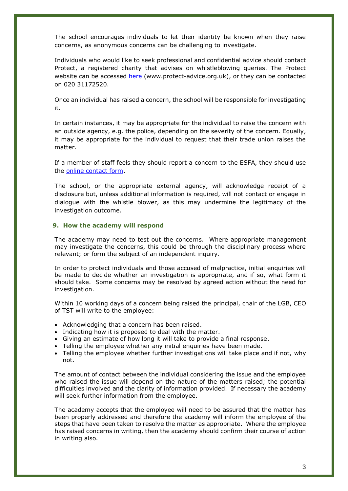The school encourages individuals to let their identity be known when they raise concerns, as anonymous concerns can be challenging to investigate.

Individuals who would like to seek professional and confidential advice should contact Protect, a registered charity that advises on whistleblowing queries. The Protect website can be accessed [here](https://www.protect-advice.org.uk/) (www.protect-advice.org.uk), or they can be contacted on 020 31172520.

Once an individual has raised a concern, the school will be responsible for investigating it.

In certain instances, it may be appropriate for the individual to raise the concern with an outside agency, e.g. the police, depending on the severity of the concern. Equally, it may be appropriate for the individual to request that their trade union raises the matter.

If a member of staff feels they should report a concern to the ESFA, they should use the [online contact form.](https://form.education.gov.uk/en/AchieveForms/?form_uri=sandbox-publish://AF-Process-f1453496-7d8a-463f-9f33-1da2ac47ed76/AF-Stage-1e64d4cc-25fb-499a-a8d7-74e98203ac00/definition.json&redirectlink=%2Fen&cancelRedirectLink=%2Fenm)

The school, or the appropriate external agency, will acknowledge receipt of a disclosure but, unless additional information is required, will not contact or engage in dialogue with the whistle blower, as this may undermine the legitimacy of the investigation outcome.

### **9. How the academy will respond**

The academy may need to test out the concerns. Where appropriate management may investigate the concerns, this could be through the disciplinary process where relevant; or form the subject of an independent inquiry.

In order to protect individuals and those accused of malpractice, initial enquiries will be made to decide whether an investigation is appropriate, and if so, what form it should take. Some concerns may be resolved by agreed action without the need for investigation.

Within 10 working days of a concern being raised the principal, chair of the LGB, CEO of TST will write to the employee:

- Acknowledging that a concern has been raised.
- Indicating how it is proposed to deal with the matter.
- Giving an estimate of how long it will take to provide a final response.
- Telling the employee whether any initial enquiries have been made.
- Telling the employee whether further investigations will take place and if not, why not.

The amount of contact between the individual considering the issue and the employee who raised the issue will depend on the nature of the matters raised; the potential difficulties involved and the clarity of information provided. If necessary the academy will seek further information from the employee.

The academy accepts that the employee will need to be assured that the matter has been properly addressed and therefore the academy will inform the employee of the steps that have been taken to resolve the matter as appropriate. Where the employee has raised concerns in writing, then the academy should confirm their course of action in writing also.